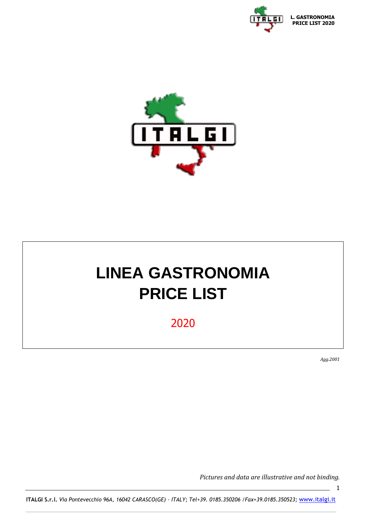



# **LINEA GASTRONOMIA PRICE LIST**

2020

*Agg.2001*

1

*Pictures and data are illustrative and not binding.*

**ITALGI S.r.l.** *Via Pontevecchio 96A, 16042 CARASCO(GE) – ITALY; Tel+39. 0185.350206 /Fax+39.0185.350523;* [www.italgi.it](http://www.italgi.it/)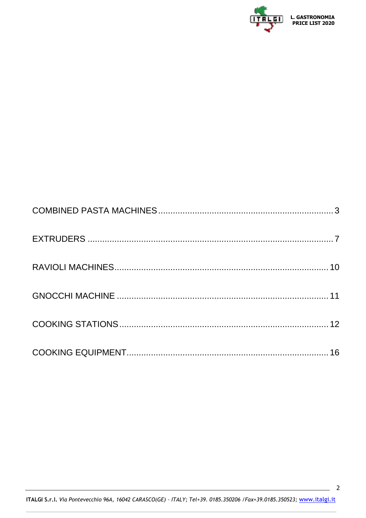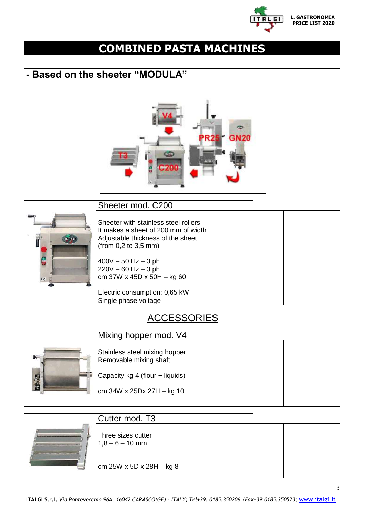

3

# <span id="page-2-0"></span>**COMBINED PASTA MACHINES**

# **- Based on the sheeter "MODULA"**



|                                      | Sheeter mod. C200                                                                                                                                                                                                                   |  |
|--------------------------------------|-------------------------------------------------------------------------------------------------------------------------------------------------------------------------------------------------------------------------------------|--|
| <b>ITALD</b><br><b>lo</b><br>$C \in$ | Sheeter with stainless steel rollers<br>It makes a sheet of 200 mm of width<br>Adjustable thickness of the sheet<br>(from 0,2 to 3,5 mm)<br>$400V - 50 Hz - 3 ph$<br>$220V - 60 Hz - 3 ph$<br>cm $37W \times 45D \times 50H - kg60$ |  |
|                                      | Electric consumption: 0,65 kW                                                                                                                                                                                                       |  |
|                                      | Single phase voltage                                                                                                                                                                                                                |  |

### **ACCESSORIES**

|             | Mixing hopper mod. V4                                   |  |
|-------------|---------------------------------------------------------|--|
| <b>FORD</b> | Stainless steel mixing hopper<br>Removable mixing shaft |  |
|             | Capacity kg 4 (flour + liquids)                         |  |
|             | cm $34W \times 25Dx 27H - kg 10$                        |  |
|             |                                                         |  |

| Cutter mod. T <sub>3</sub>              |  |
|-----------------------------------------|--|
| Three sizes cutter<br>$1,8 - 6 - 10$ mm |  |
| cm $25W \times 5D \times 28H - kg 8$    |  |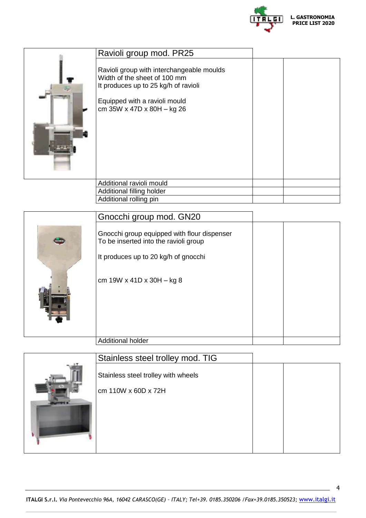

| Ravioli group mod. PR25                                                                                                                                                                      |  |
|----------------------------------------------------------------------------------------------------------------------------------------------------------------------------------------------|--|
| Ravioli group with interchangeable moulds<br>Width of the sheet of 100 mm<br>It produces up to 25 kg/h of ravioli<br>Equipped with a ravioli mould<br>cm $35W \times 47D \times 80H - kg 26$ |  |
| Additional ravioli mould                                                                                                                                                                     |  |
| Additional filling holder                                                                                                                                                                    |  |
| Additional rolling pin                                                                                                                                                                       |  |

|             | Gnocchi group mod. GN20                                                                                                      |  |
|-------------|------------------------------------------------------------------------------------------------------------------------------|--|
| <b>MITH</b> | Gnocchi group equipped with flour dispenser<br>To be inserted into the ravioli group<br>It produces up to 20 kg/h of gnocchi |  |
|             | cm $19W \times 41D \times 30H - kg 8$                                                                                        |  |
|             | <b>Additional holder</b>                                                                                                     |  |

| Stainless steel trolley mod. TIG    |  |
|-------------------------------------|--|
| Stainless steel trolley with wheels |  |
| cm 110W x 60D x 72H                 |  |
|                                     |  |
|                                     |  |
|                                     |  |
|                                     |  |

4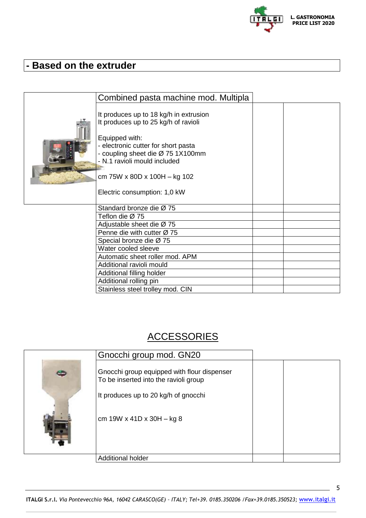

# **- Based on the extruder**

| Combined pasta machine mod. Multipla                                                                                                                                                                                                                                           |  |
|--------------------------------------------------------------------------------------------------------------------------------------------------------------------------------------------------------------------------------------------------------------------------------|--|
| It produces up to 18 kg/h in extrusion<br>It produces up to 25 kg/h of ravioli<br>Equipped with:<br>- electronic cutter for short pasta<br>- coupling sheet die Ø 75 1X100mm<br>- N.1 ravioli mould included<br>cm 75W x 80D x 100H $-$ kg 102<br>Electric consumption: 1,0 kW |  |
| Standard bronze die Ø 75                                                                                                                                                                                                                                                       |  |
| Teflon die Ø 75                                                                                                                                                                                                                                                                |  |
| Adjustable sheet die $\varnothing$ 75                                                                                                                                                                                                                                          |  |
| Penne die with cutter $\varnothing$ 75                                                                                                                                                                                                                                         |  |
| Special bronze die Ø 75                                                                                                                                                                                                                                                        |  |
| Water cooled sleeve                                                                                                                                                                                                                                                            |  |
| Automatic sheet roller mod. APM                                                                                                                                                                                                                                                |  |
| Additional ravioli mould                                                                                                                                                                                                                                                       |  |
| Additional filling holder                                                                                                                                                                                                                                                      |  |
| Additional rolling pin                                                                                                                                                                                                                                                         |  |
| Stainless steel trolley mod. CIN                                                                                                                                                                                                                                               |  |

## **ACCESSORIES**

| Gnocchi group mod. GN20                                                                                                                                     |  |
|-------------------------------------------------------------------------------------------------------------------------------------------------------------|--|
| Gnocchi group equipped with flour dispenser<br>To be inserted into the ravioli group<br>It produces up to 20 kg/h of gnocchi<br>cm 19W x 41D x 30H $-$ kg 8 |  |
| <b>Additional holder</b>                                                                                                                                    |  |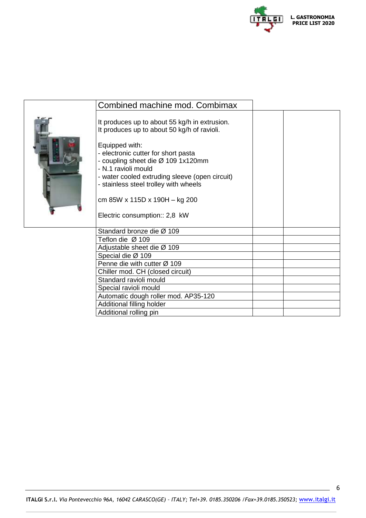

| Combined machine mod. Combimax                                                                                                                                                                                                                                                                                                                                                  |  |
|---------------------------------------------------------------------------------------------------------------------------------------------------------------------------------------------------------------------------------------------------------------------------------------------------------------------------------------------------------------------------------|--|
| It produces up to about 55 kg/h in extrusion.<br>It produces up to about 50 kg/h of ravioli.<br>Equipped with:<br>- electronic cutter for short pasta<br>- coupling sheet die Ø 109 1x120mm<br>- N.1 ravioli mould<br>- water cooled extruding sleeve (open circuit)<br>- stainless steel trolley with wheels<br>cm 85W x 115D x 190H - kg 200<br>Electric consumption:: 2,8 kW |  |
| Standard bronze die Ø 109                                                                                                                                                                                                                                                                                                                                                       |  |
| Teflon die $\varnothing$ 109                                                                                                                                                                                                                                                                                                                                                    |  |
| Adjustable sheet die Ø 109                                                                                                                                                                                                                                                                                                                                                      |  |
| Special die Ø 109                                                                                                                                                                                                                                                                                                                                                               |  |
| Penne die with cutter Ø 109                                                                                                                                                                                                                                                                                                                                                     |  |
| Chiller mod. CH (closed circuit)                                                                                                                                                                                                                                                                                                                                                |  |
| Standard ravioli mould                                                                                                                                                                                                                                                                                                                                                          |  |
| Special ravioli mould                                                                                                                                                                                                                                                                                                                                                           |  |
| Automatic dough roller mod. AP35-120                                                                                                                                                                                                                                                                                                                                            |  |
| Additional filling holder                                                                                                                                                                                                                                                                                                                                                       |  |
| Additional rolling pin                                                                                                                                                                                                                                                                                                                                                          |  |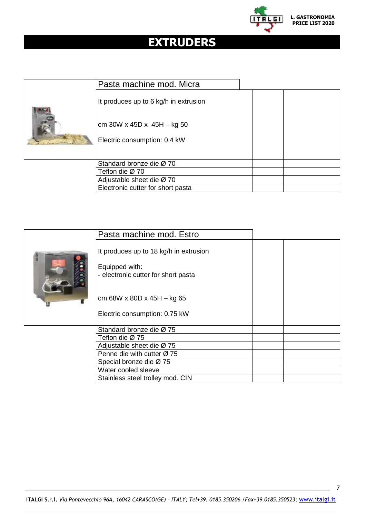

# <span id="page-6-0"></span>**EXTRUDERS**

| Pasta machine mod. Micra              |  |
|---------------------------------------|--|
| It produces up to 6 kg/h in extrusion |  |
| cm 30W x 45D x 45H $-$ kg 50          |  |
| Electric consumption: 0,4 kW          |  |
| Standard bronze die Ø 70              |  |
| Teflon die Ø 70                       |  |
| Adjustable sheet die $\varnothing$ 70 |  |
| Electronic cutter for short pasta     |  |

| Pasta machine mod. Estro                                                                                                                                         |  |
|------------------------------------------------------------------------------------------------------------------------------------------------------------------|--|
| It produces up to 18 kg/h in extrusion<br>Equipped with:<br>- electronic cutter for short pasta<br>cm 68W x 80D x 45H $-$ kg 65<br>Electric consumption: 0,75 kW |  |
| Standard bronze die Ø 75                                                                                                                                         |  |
| Teflon die Ø 75                                                                                                                                                  |  |
| Adjustable sheet die Ø 75                                                                                                                                        |  |
| Penne die with cutter Ø 75                                                                                                                                       |  |
| Special bronze die Ø 75                                                                                                                                          |  |
| Water cooled sleeve                                                                                                                                              |  |
| Stainless steel trolley mod. CIN                                                                                                                                 |  |

7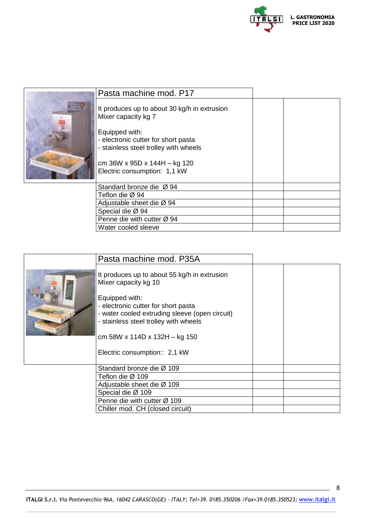

| Pasta machine mod. P17                                                       |  |
|------------------------------------------------------------------------------|--|
| It produces up to about 30 kg/h in extrusion<br>Mixer capacity kg 7          |  |
| Equipped with:                                                               |  |
| - electronic cutter for short pasta<br>- stainless steel trolley with wheels |  |
| cm 36W x 95D x 144H - kg 120<br>Electric consumption: 1,1 kW                 |  |
| Standard bronze die Ø 94                                                     |  |
| Teflon die Ø 94                                                              |  |
| Adjustable sheet die Ø 94                                                    |  |
| Special die Ø 94                                                             |  |
| Penne die with cutter Ø 94                                                   |  |

Water cooled sleeve

| Pasta machine mod. P35A                                                                                                                                                                                                                                                                    |  |
|--------------------------------------------------------------------------------------------------------------------------------------------------------------------------------------------------------------------------------------------------------------------------------------------|--|
| It produces up to about 55 kg/h in extrusion<br>Mixer capacity kg 10<br>Equipped with:<br>- electronic cutter for short pasta<br>- water cooled extruding sleeve (open circuit)<br>- stainless steel trolley with wheels<br>cm 58W x 114D x 132H - kg 150<br>Electric consumption:: 2,1 kW |  |
| Standard bronze die Ø 109                                                                                                                                                                                                                                                                  |  |
| Teflon die Ø 109<br>Adjustable sheet die Ø 109                                                                                                                                                                                                                                             |  |
| Special die Ø 109                                                                                                                                                                                                                                                                          |  |
| Penne die with cutter Ø 109                                                                                                                                                                                                                                                                |  |
| Chiller mod. CH (closed circuit)                                                                                                                                                                                                                                                           |  |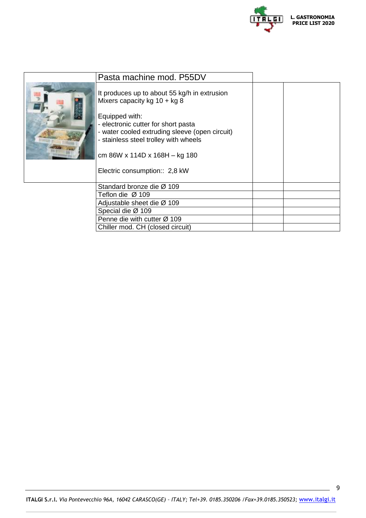

| Pasta machine mod. P55DV                                                              |  |
|---------------------------------------------------------------------------------------|--|
| It produces up to about 55 kg/h in extrusion<br>Mixers capacity kg $10 + kg$ 8        |  |
| Equipped with:                                                                        |  |
| - electronic cutter for short pasta<br>- water cooled extruding sleeve (open circuit) |  |
| - stainless steel trolley with wheels                                                 |  |
| cm 86W x 114D x 168H - kg 180                                                         |  |
| Electric consumption:: 2,8 kW                                                         |  |
| Standard bronze die Ø 109                                                             |  |
| Teflon die Ø 109                                                                      |  |
| Adjustable sheet die Ø 109                                                            |  |
| Special die Ø 109                                                                     |  |
| Penne die with cutter Ø 109                                                           |  |
| Chiller mod. CH (closed circuit)                                                      |  |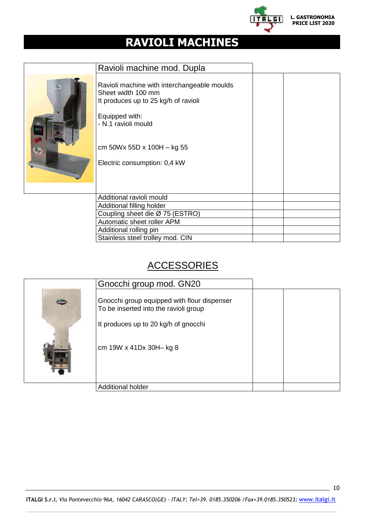

# <span id="page-9-0"></span>**RAVIOLI MACHINES**

| Ravioli machine mod. Dupla                                                                                                                                                                                        |  |  |
|-------------------------------------------------------------------------------------------------------------------------------------------------------------------------------------------------------------------|--|--|
| Ravioli machine with interchangeable moulds<br>Sheet width 100 mm<br>It produces up to 25 kg/h of ravioli<br>Equipped with:<br>- N.1 ravioli mould<br>cm $50Wx 55Dx 100H - kg 55$<br>Electric consumption: 0,4 kW |  |  |
| Additional ravioli mould                                                                                                                                                                                          |  |  |
| Additional filling holder                                                                                                                                                                                         |  |  |
| Coupling sheet die Ø 75 (ESTRO)                                                                                                                                                                                   |  |  |
| Automatic sheet roller APM                                                                                                                                                                                        |  |  |
| Additional rolling pin                                                                                                                                                                                            |  |  |
| Stainless steel trolley mod. CIN                                                                                                                                                                                  |  |  |

## **ACCESSORIES**

| Gnocchi group mod. GN20                                                                                                                                 |  |
|---------------------------------------------------------------------------------------------------------------------------------------------------------|--|
| Gnocchi group equipped with flour dispenser<br>To be inserted into the ravioli group<br>It produces up to 20 kg/h of gnocchi<br>cm 19W x 41Dx 30H- kg 8 |  |
| <b>Additional holder</b>                                                                                                                                |  |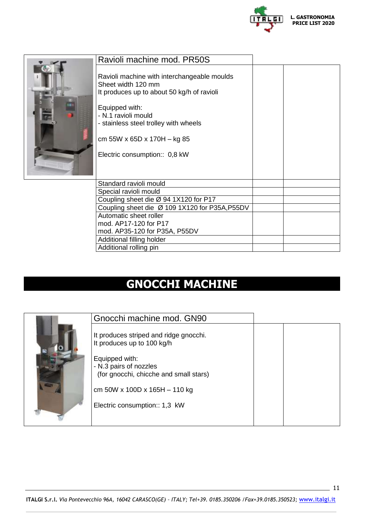

| Ravioli machine mod. PR50S                                                                                                                                                                                                                                        |  |
|-------------------------------------------------------------------------------------------------------------------------------------------------------------------------------------------------------------------------------------------------------------------|--|
| Ravioli machine with interchangeable moulds<br>Sheet width 120 mm<br>It produces up to about 50 kg/h of ravioli<br>Equipped with:<br>- N.1 ravioli mould<br>- stainless steel trolley with wheels<br>cm 55W x 65D x 170H - kg 85<br>Electric consumption:: 0,8 kW |  |
| Standard ravioli mould                                                                                                                                                                                                                                            |  |
| Special ravioli mould                                                                                                                                                                                                                                             |  |
| Coupling sheet die Ø 94 1X120 for P17                                                                                                                                                                                                                             |  |
| Coupling sheet die Ø 109 1X120 for P35A, P55DV                                                                                                                                                                                                                    |  |
| Automatic sheet roller                                                                                                                                                                                                                                            |  |
| mod. AP17-120 for P17                                                                                                                                                                                                                                             |  |
| mod. AP35-120 for P35A, P55DV                                                                                                                                                                                                                                     |  |
| Additional filling holder                                                                                                                                                                                                                                         |  |
| Additional rolling pin                                                                                                                                                                                                                                            |  |

# <span id="page-10-0"></span>**GNOCCHI MACHINE**

| Gnocchi machine mod. GN90                                                                                                                                                                                                      |  |
|--------------------------------------------------------------------------------------------------------------------------------------------------------------------------------------------------------------------------------|--|
| It produces striped and ridge gnocchi.<br>It produces up to 100 kg/h<br>Equipped with:<br>- N.3 pairs of nozzles<br>(for gnocchi, chicche and small stars)<br>cm 50W x 100D x 165H $-$ 110 kg<br>Electric consumption:: 1,3 kW |  |

11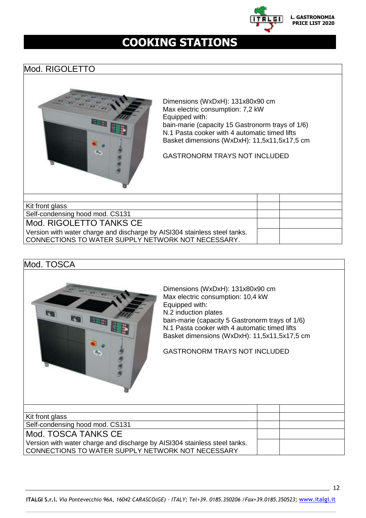

# **COOKING STATIONS**

#### <span id="page-11-0"></span>Mod. RIGOLETTO



Dimensions (WxDxH): 131x80x90 cm Max electric consumption: 7,2 kW Equipped with: bain-marie (capacity 15 Gastronorm trays of 1/6) N.1 Pasta cooker with 4 automatic timed lifts Basket dimensions (WxDxH): 11,5x11,5x17,5 cm

GASTRONORM TRAYS NOT INCLUDED

| Kit front glass                                                           |  |
|---------------------------------------------------------------------------|--|
| Self-condensing hood mod. CS131                                           |  |
| Mod. RIGOLETTO TANKS CE                                                   |  |
| Version with water charge and discharge by AISI304 stainless steel tanks. |  |
| CONNECTIONS TO WATER SUPPLY NETWORK NOT NECESSARY.                        |  |
|                                                                           |  |



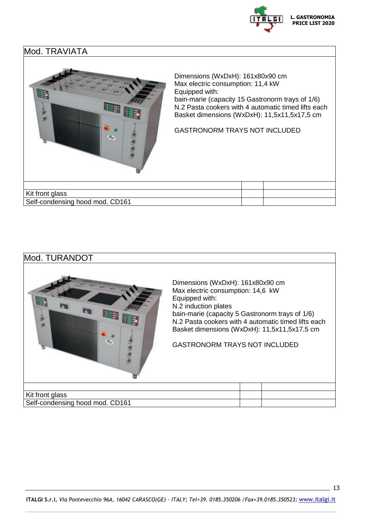

#### Mod. TRAVIATA



Dimensions (WxDxH): 161x80x90 cm Max electric consumption: 11,4 kW Equipped with: bain-marie (capacity 15 Gastronorm trays of 1/6) N.2 Pasta cookers with 4 automatic timed lifts each Basket dimensions (WxDxH): 11,5x11,5x17,5 cm

GASTRONORM TRAYS NOT INCLUDED

| Kit front glass                 |  |
|---------------------------------|--|
| Self-condensing hood mod. CD161 |  |

## Mod. TURANDOT Dimensions (WxDxH): 161x80x90 cm Max electric consumption: 14,6 kW Equipped with: N.2 induction plates **IP-do** bain-marie (capacity 5 Gastronorm trays of 1/6) N.2 Pasta cookers with 4 automatic timed lifts each ø Basket dimensions (WxDxH): 11,5x11,5x17,5 cm GASTRONORM TRAYS NOT INCLUDED Kit front glass Self-condensing hood mod. CD161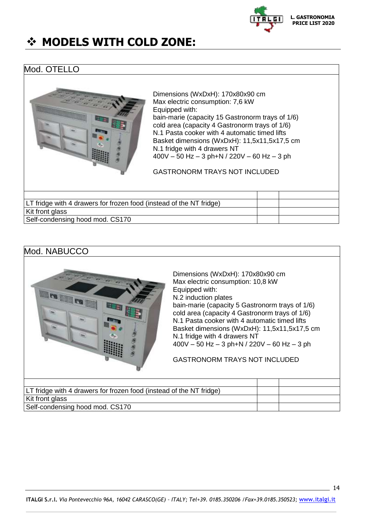

# **MODELS WITH COLD ZONE:**

#### Mod. OTELLO



Dimensions (WxDxH): 170x80x90 cm Max electric consumption: 7,6 kW Equipped with: bain-marie (capacity 15 Gastronorm trays of 1/6) cold area (capacity 4 Gastronorm trays of 1/6) N.1 Pasta cooker with 4 automatic timed lifts Basket dimensions (WxDxH): 11,5x11,5x17,5 cm N.1 fridge with 4 drawers NT  $400V - 50$  Hz  $-$  3 ph+N / 220V  $-$  60 Hz  $-$  3 ph

GASTRONORM TRAYS NOT INCLUDED

LT fridge with 4 drawers for frozen food (instead of the NT fridge) Kit front glass Self-condensing hood mod. CS170

#### Mod. NABUCCO



Dimensions (WxDxH): 170x80x90 cm Max electric consumption: 10,8 kW Equipped with: N.2 induction plates bain-marie (capacity 5 Gastronorm trays of 1/6) cold area (capacity 4 Gastronorm trays of 1/6) N.1 Pasta cooker with 4 automatic timed lifts Basket dimensions (WxDxH): 11,5x11,5x17,5 cm N.1 fridge with 4 drawers NT 400V – 50 Hz – 3 ph+N / 220V – 60 Hz – 3 ph

GASTRONORM TRAYS NOT INCLUDED

| LT fridge with 4 drawers for frozen food (instead of the NT fridge) |  |
|---------------------------------------------------------------------|--|
| Kit front glass                                                     |  |
| Self-condensing hood mod. CS170                                     |  |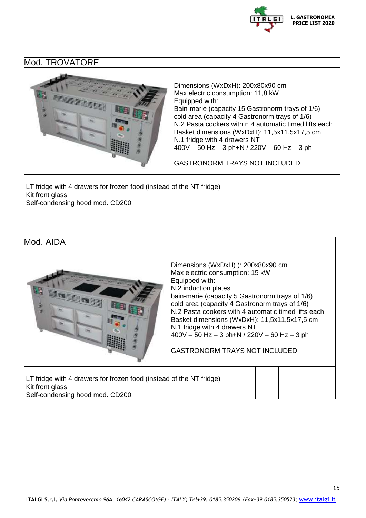

Mod. TROVATORE



Dimensions (WxDxH): 200x80x90 cm Max electric consumption: 11,8 kW Equipped with: Bain-marie (capacity 15 Gastronorm trays of 1/6) cold area (capacity 4 Gastronorm trays of 1/6) N.2 Pasta cookers with n 4 automatic timed lifts each Basket dimensions (WxDxH): 11,5x11,5x17,5 cm N.1 fridge with 4 drawers NT 400V – 50 Hz – 3 ph+N / 220V – 60 Hz – 3 ph

GASTRONORM TRAYS NOT INCLUDED

| LT fridge with 4 drawers for frozen food (instead of the NT fridge) |  |
|---------------------------------------------------------------------|--|
| Kit front glass                                                     |  |
| Self-condensing hood mod. CD200                                     |  |

#### Mod. AIDA

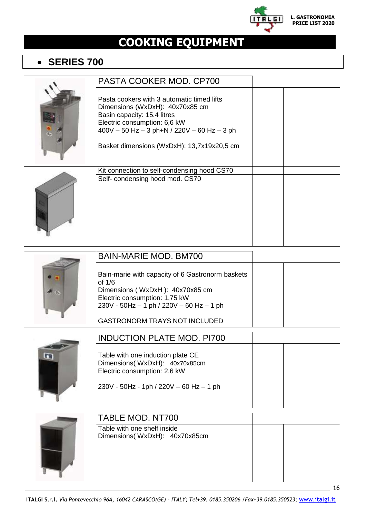

# <span id="page-15-0"></span>**COOKING EQUIPMENT**

### **SERIES 700**

|           | PASTA COOKER MOD. CP700                                                                                                                                                                                                                       |    |
|-----------|-----------------------------------------------------------------------------------------------------------------------------------------------------------------------------------------------------------------------------------------------|----|
|           | Pasta cookers with 3 automatic timed lifts<br>Dimensions (WxDxH): 40x70x85 cm<br>Basin capacity: 15.4 litres<br>Electric consumption: 6,6 kW<br>$400V - 50 Hz - 3 ph + N / 220V - 60 Hz - 3 ph$<br>Basket dimensions (WxDxH): 13,7x19x20,5 cm |    |
|           | Kit connection to self-condensing hood CS70<br>Self- condensing hood mod. CS70                                                                                                                                                                |    |
|           | <b>BAIN-MARIE MOD. BM700</b>                                                                                                                                                                                                                  |    |
|           | Bain-marie with capacity of 6 Gastronorm baskets<br>of 1/6<br>Dimensions (WxDxH): 40x70x85 cm<br>Electric consumption: 1,75 kW<br>230V - 50Hz - 1 ph / 220V - 60 Hz - 1 ph<br><b>GASTRONORM TRAYS NOT INCLUDED</b>                            |    |
|           | <b>INDUCTION PLATE MOD. PI700</b>                                                                                                                                                                                                             |    |
| <b>GR</b> | Table with one induction plate CE<br>Dimensions(WxDxH): 40x70x85cm<br>Electric consumption: 2,6 kW<br>230V - 50Hz - 1ph / 220V - 60 Hz - 1 ph                                                                                                 |    |
|           | TABLE MOD. NT700                                                                                                                                                                                                                              |    |
|           | Table with one shelf inside<br>Dimensions(WxDxH): 40x70x85cm                                                                                                                                                                                  |    |
|           |                                                                                                                                                                                                                                               | 16 |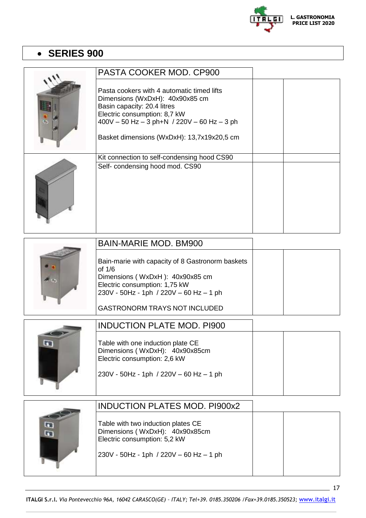

## **SERIES 900**

| PASTA COOKER MOD. CP900                                                                                                                                                                                                                       |  |
|-----------------------------------------------------------------------------------------------------------------------------------------------------------------------------------------------------------------------------------------------|--|
| Pasta cookers with 4 automatic timed lifts<br>Dimensions (WxDxH): 40x90x85 cm<br>Basin capacity: 20.4 litres<br>Electric consumption: 8,7 kW<br>$400V - 50 Hz - 3 ph + N$ / 220V - 60 Hz - 3 ph<br>Basket dimensions (WxDxH): 13,7x19x20,5 cm |  |
| Kit connection to self-condensing hood CS90<br>Self- condensing hood mod. CS90                                                                                                                                                                |  |

| <b>BAIN-MARIE MOD. BM900</b>                                                                                                                                                |  |  |
|-----------------------------------------------------------------------------------------------------------------------------------------------------------------------------|--|--|
| Bain-marie with capacity of 8 Gastronorm baskets<br>of $1/6$<br>Dimensions (WxDxH): 40x90x85 cm<br>Electric consumption: 1,75 kW<br>230V - 50Hz - 1ph / 220V - 60 Hz - 1 ph |  |  |
| <b>GASTRONORM TRAYS NOT INCLUDED</b>                                                                                                                                        |  |  |

| <b>INDUCTION PLATE MOD. PI900</b>                                                                                                                |  |  |
|--------------------------------------------------------------------------------------------------------------------------------------------------|--|--|
| Table with one induction plate CE<br>Dimensions (WxDxH): 40x90x85cm<br>Electric consumption: 2,6 kW<br>$230V - 50Hz - 1ph / 220V - 60 Hz - 1 ph$ |  |  |

|                      | <b>INDUCTION PLATES MOD. PI900x2</b>                                                                                                            |  |  |
|----------------------|-------------------------------------------------------------------------------------------------------------------------------------------------|--|--|
| <b>G</b><br><b>G</b> | Table with two induction plates CE<br>Dimensions (WxDxH): 40x90x85cm<br>Electric consumption: 5,2 kW<br>230V - 50Hz - 1ph / 220V - 60 Hz - 1 ph |  |  |